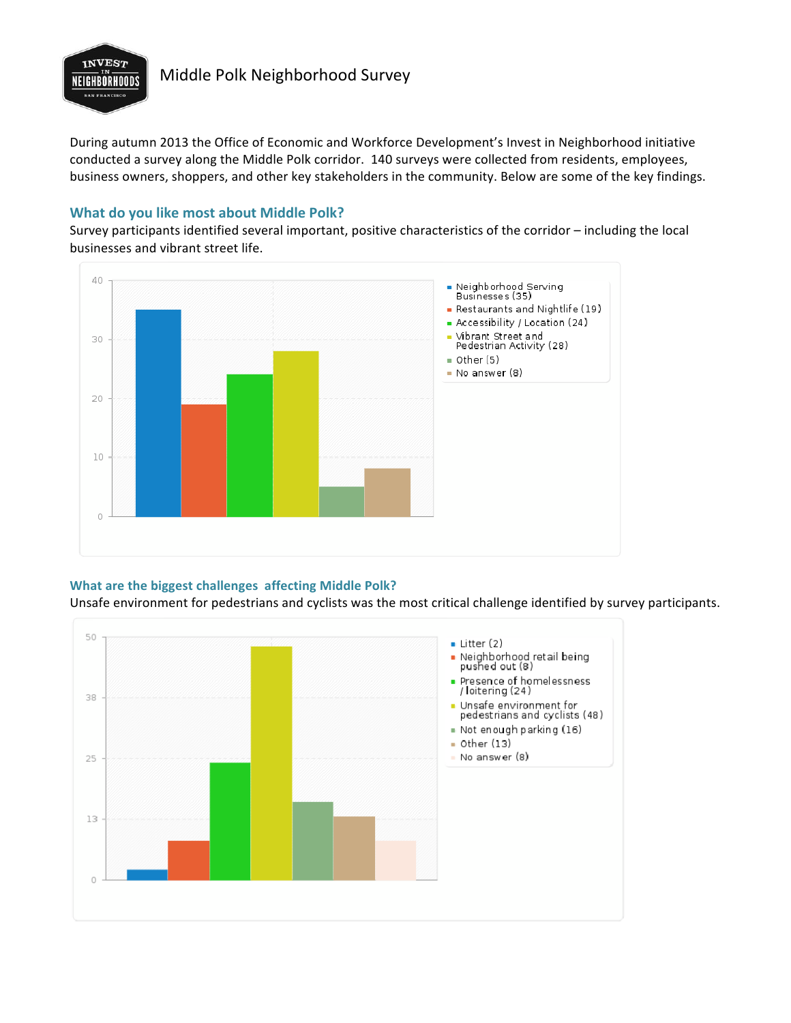

# **INVEST**<br>**MIGHBORHOODS** Middle Polk Neighborhood Survey

During autumn 2013 the Office of Economic and Workforce Development's Invest in Neighborhood initiative conducted a survey along the Middle Polk corridor. 140 surveys were collected from residents, employees, business owners, shoppers, and other key stakeholders in the community. Below are some of the key findings.

## **What do you like most about Middle Polk?**

Survey participants identified several important, positive characteristics of the corridor – including the local businesses and vibrant street life.



### **What are the biggest challenges affecting Middle Polk?**

Unsafe environment for pedestrians and cyclists was the most critical challenge identified by survey participants.

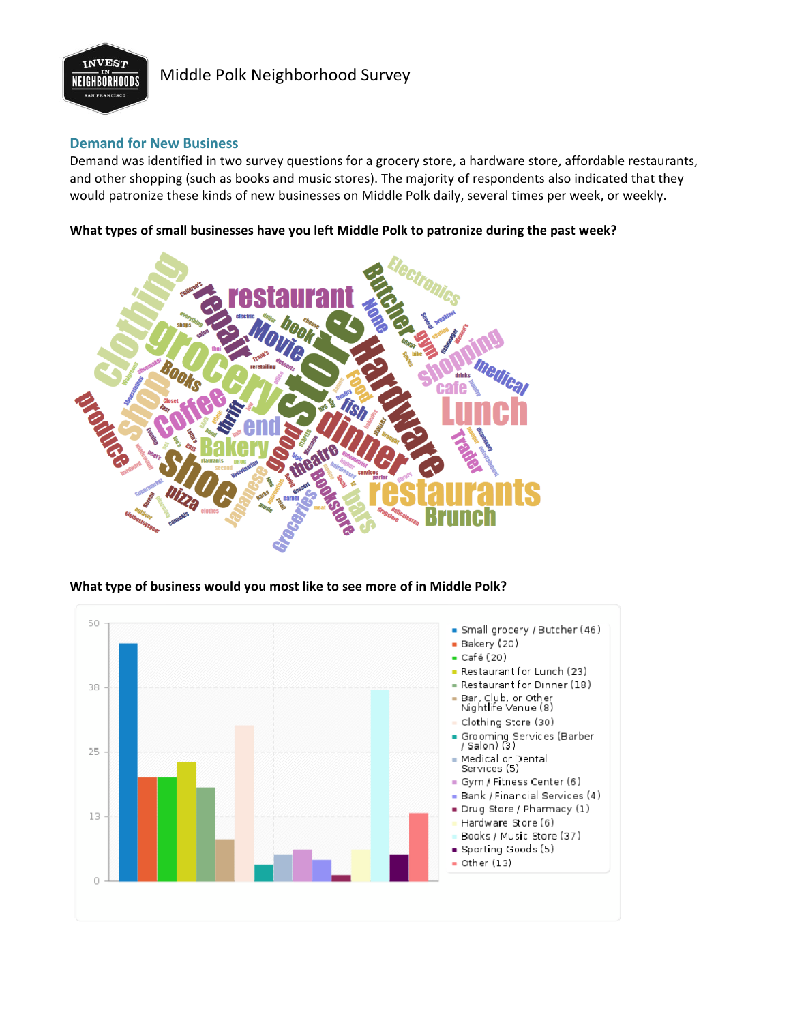

# **INVEST**<br>**MIGHBORHOODS** Middle Polk Neighborhood Survey

### **Demand for New Business**

Demand was identified in two survey questions for a grocery store, a hardware store, affordable restaurants, and other shopping (such as books and music stores). The majority of respondents also indicated that they would patronize these kinds of new businesses on Middle Polk daily, several times per week, or weekly.

What types of small businesses have you left Middle Polk to patronize during the past week?



### What type of business would you most like to see more of in Middle Polk?